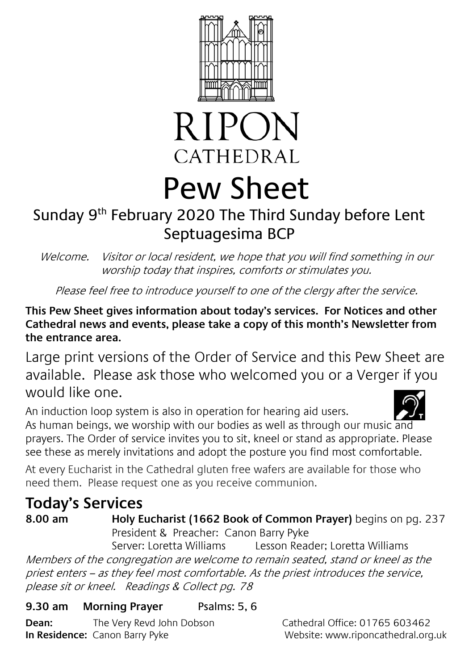



# Pew Sheet

# Sunday 9<sup>th</sup> February 2020 The Third Sunday before Lent Septuagesima BCP

Welcome. Visitor or local resident, we hope that you will find something in our worship today that inspires, comforts or stimulates you.

Please feel free to introduce yourself to one of the clergy after the service.

#### **This Pew Sheet gives information about today's services. For Notices and other Cathedral news and events, please take a copy of this month's Newsletter from the entrance area.**

Large print versions of the Order of Service and this Pew Sheet are available. Please ask those who welcomed you or a Verger if you would like one.

An induction loop system is also in operation for hearing aid users. As human beings, we worship with our bodies as well as through our music and prayers. The Order of service invites you to sit, kneel or stand as appropriate. Please see these as merely invitations and adopt the posture you find most comfortable.

At every Eucharist in the Cathedral gluten free wafers are available for those who need them. Please request one as you receive communion.

## **Today's Services**

# **8.00 am Holy Eucharist (1662 Book of Common Prayer)** begins on pg. 237

President & Preacher: Canon Barry Pyke

Server: Loretta Williams Lesson Reader; Loretta Williams Members of the congregation are welcome to remain seated, stand or kneel as the priest enters – as they feel most comfortable. As the priest introduces the service, please sit or kneel. Readings & Collect pg. 78

#### **9.30 am Morning Prayer** Psalms: 5, 6

**Dean:** The Very Revd John Dobson Cathedral Office: 01765 603462 **In Residence:** Canon Barry Pyke Website: www.riponcathedral.org.uk